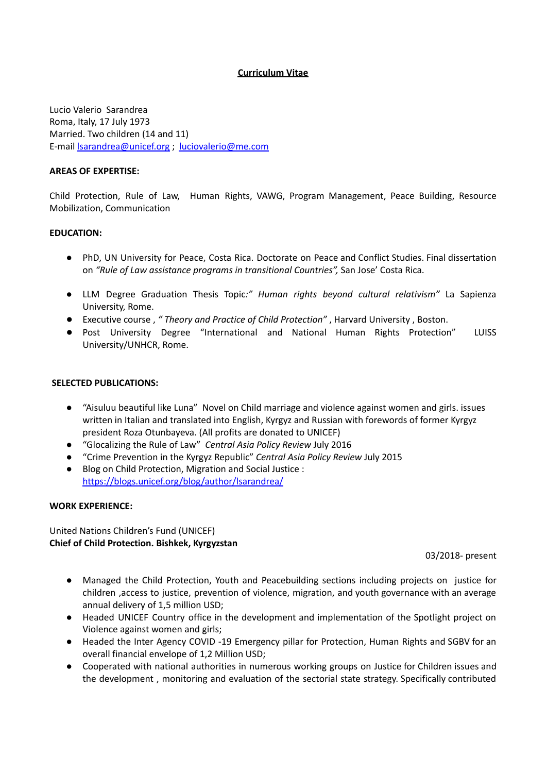### **Curriculum Vitae**

Lucio Valerio Sarandrea Roma, Italy, 17 July 1973 Married. Two children (14 and 11) E-mail [lsarandrea@unicef.org](mailto:lsarandrea@unicef.org) ; [luciovalerio@me.com](mailto:luciovalerio@me.com)

### **AREAS OF EXPERTISE:**

Child Protection, Rule of Law, Human Rights, VAWG, Program Management, Peace Building, Resource Mobilization, Communication

### **EDUCATION:**

- PhD, UN University for Peace, Costa Rica. Doctorate on Peace and Conflict Studies. Final dissertation on *"Rule of Law assistance programs in transitional Countries",* San Jose' Costa Rica.
- LLM Degree Graduation Thesis Topic*:" Human rights beyond cultural relativism"* La Sapienza University, Rome.
- Executive course , *" Theory and Practice of Child Protection"* , Harvard University , Boston.
- Post University Degree "International and National Human Rights Protection" LUISS University/UNHCR, Rome.

### **SELECTED PUBLICATIONS:**

- "Aisuluu beautiful like Luna" Novel on Child marriage and violence against women and girls. issues written in Italian and translated into English, Kyrgyz and Russian with forewords of former Kyrgyz president Roza Otunbayeva. (All profits are donated to UNICEF)
- "Glocalizing the Rule of Law" *Central Asia Policy Review* July 2016
- "Crime Prevention in the Kyrgyz Republic" *Central Asia Policy Review* July 2015
- Blog on Child Protection, Migration and Social Justice : <https://blogs.unicef.org/blog/author/lsarandrea/>

#### **WORK EXPERIENCE:**

United Nations Children's Fund (UNICEF) **Chief of Child Protection. Bishkek, Kyrgyzstan**

03/2018- present

- Managed the Child Protection, Youth and Peacebuilding sections including projects on justice for children ,access to justice, prevention of violence, migration, and youth governance with an average annual delivery of 1,5 million USD;
- Headed UNICEF Country office in the development and implementation of the Spotlight project on Violence against women and girls;
- Headed the Inter Agency COVID -19 Emergency pillar for Protection, Human Rights and SGBV for an overall financial envelope of 1,2 Million USD;
- Cooperated with national authorities in numerous working groups on Justice for Children issues and the development , monitoring and evaluation of the sectorial state strategy. Specifically contributed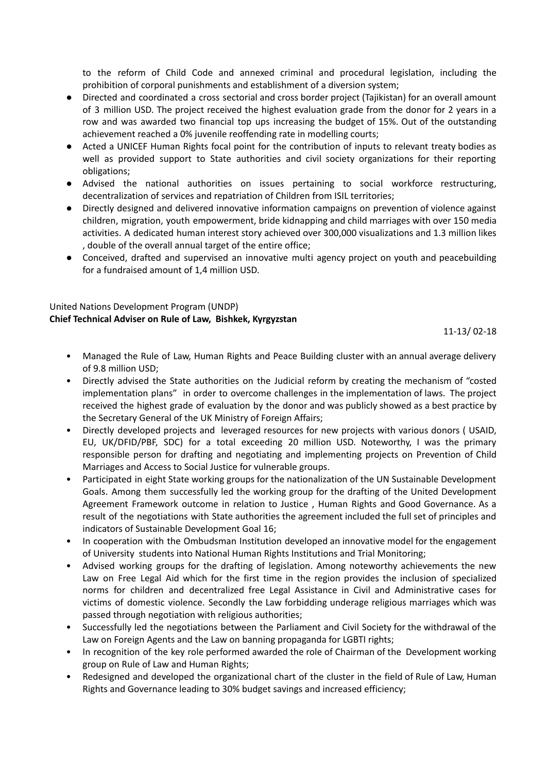to the reform of Child Code and annexed criminal and procedural legislation, including the prohibition of corporal punishments and establishment of a diversion system;

- Directed and coordinated a cross sectorial and cross border project (Tajikistan) for an overall amount of 3 million USD. The project received the highest evaluation grade from the donor for 2 years in a row and was awarded two financial top ups increasing the budget of 15%. Out of the outstanding achievement reached a 0% juvenile reoffending rate in modelling courts;
- Acted a UNICEF Human Rights focal point for the contribution of inputs to relevant treaty bodies as well as provided support to State authorities and civil society organizations for their reporting obligations;
- Advised the national authorities on issues pertaining to social workforce restructuring, decentralization of services and repatriation of Children from ISIL territories;
- Directly designed and delivered innovative information campaigns on prevention of violence against children, migration, youth empowerment, bride kidnapping and child marriages with over 150 media activities. A dedicated human interest story achieved over 300,000 visualizations and 1.3 million likes , double of the overall annual target of the entire office;
- Conceived, drafted and supervised an innovative multi agency project on youth and peacebuilding for a fundraised amount of 1,4 million USD.

### United Nations Development Program (UNDP) **Chief Technical Adviser on Rule of Law, Bishkek, Kyrgyzstan**

11-13/ 02-18

- Managed the Rule of Law, Human Rights and Peace Building cluster with an annual average delivery of 9.8 million USD;
- Directly advised the State authorities on the Judicial reform by creating the mechanism of "costed implementation plans" in order to overcome challenges in the implementation of laws. The project received the highest grade of evaluation by the donor and was publicly showed as a best practice by the Secretary General of the UK Ministry of Foreign Affairs;
- Directly developed projects and leveraged resources for new projects with various donors ( USAID, EU, UK/DFID/PBF, SDC) for a total exceeding 20 million USD. Noteworthy, I was the primary responsible person for drafting and negotiating and implementing projects on Prevention of Child Marriages and Access to Social Justice for vulnerable groups.
- Participated in eight State working groups for the nationalization of the UN Sustainable Development Goals. Among them successfully led the working group for the drafting of the United Development Agreement Framework outcome in relation to Justice , Human Rights and Good Governance. As a result of the negotiations with State authorities the agreement included the full set of principles and indicators of Sustainable Development Goal 16;
- In cooperation with the Ombudsman Institution developed an innovative model for the engagement of University students into National Human Rights Institutions and Trial Monitoring;
- Advised working groups for the drafting of legislation. Among noteworthy achievements the new Law on Free Legal Aid which for the first time in the region provides the inclusion of specialized norms for children and decentralized free Legal Assistance in Civil and Administrative cases for victims of domestic violence. Secondly the Law forbidding underage religious marriages which was passed through negotiation with religious authorities;
- Successfully led the negotiations between the Parliament and Civil Society for the withdrawal of the Law on Foreign Agents and the Law on banning propaganda for LGBTI rights;
- In recognition of the key role performed awarded the role of Chairman of the Development working group on Rule of Law and Human Rights;
- Redesigned and developed the organizational chart of the cluster in the field of Rule of Law, Human Rights and Governance leading to 30% budget savings and increased efficiency;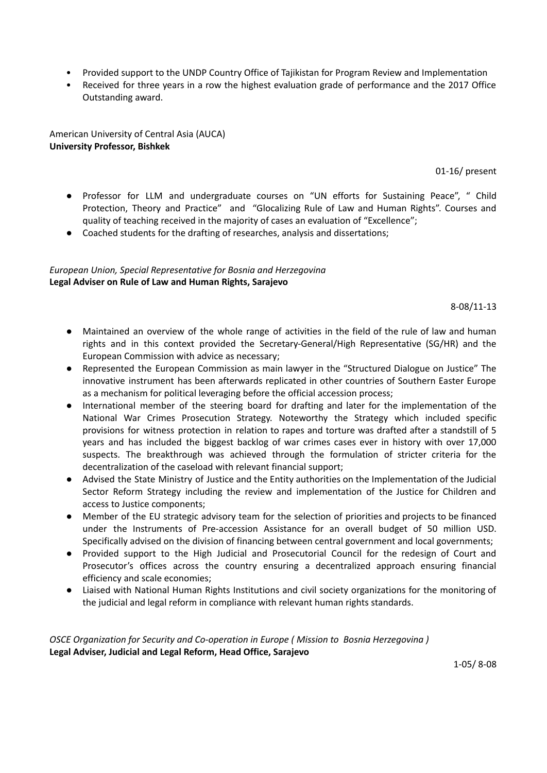- Provided support to the UNDP Country Office of Tajikistan for Program Review and Implementation
- Received for three years in a row the highest evaluation grade of performance and the 2017 Office Outstanding award.

American University of Central Asia (AUCA) **University Professor, Bishkek**

01-16/ present

- Professor for LLM and undergraduate courses on "UN efforts for Sustaining Peace", " Child Protection, Theory and Practice" and "Glocalizing Rule of Law and Human Rights". Courses and quality of teaching received in the majority of cases an evaluation of "Excellence";
- Coached students for the drafting of researches, analysis and dissertations;

## *European Union, Special Representative for Bosnia and Herzegovina* **Legal Adviser on Rule of Law and Human Rights, Sarajevo**

8-08/11-13

- Maintained an overview of the whole range of activities in the field of the rule of law and human rights and in this context provided the Secretary-General/High Representative (SG/HR) and the European Commission with advice as necessary;
- Represented the European Commission as main lawyer in the "Structured Dialogue on Justice" The innovative instrument has been afterwards replicated in other countries of Southern Easter Europe as a mechanism for political leveraging before the official accession process;
- International member of the steering board for drafting and later for the implementation of the National War Crimes Prosecution Strategy. Noteworthy the Strategy which included specific provisions for witness protection in relation to rapes and torture was drafted after a standstill of 5 years and has included the biggest backlog of war crimes cases ever in history with over 17,000 suspects. The breakthrough was achieved through the formulation of stricter criteria for the decentralization of the caseload with relevant financial support;
- Advised the State Ministry of Justice and the Entity authorities on the Implementation of the Judicial Sector Reform Strategy including the review and implementation of the Justice for Children and access to Justice components;
- Member of the EU strategic advisory team for the selection of priorities and projects to be financed under the Instruments of Pre-accession Assistance for an overall budget of 50 million USD. Specifically advised on the division of financing between central government and local governments;
- Provided support to the High Judicial and Prosecutorial Council for the redesign of Court and Prosecutor's offices across the country ensuring a decentralized approach ensuring financial efficiency and scale economies;
- Liaised with National Human Rights Institutions and civil society organizations for the monitoring of the judicial and legal reform in compliance with relevant human rights standards.

*OSCE Organization for Security and Co-operation in Europe ( Mission to Bosnia Herzegovina )* **Legal Adviser, Judicial and Legal Reform, Head Office, Sarajevo**

1-05/ 8-08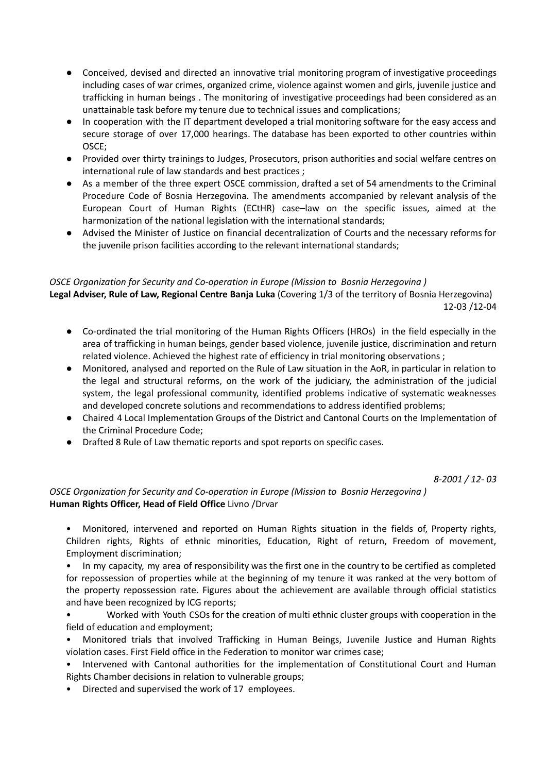- Conceived, devised and directed an innovative trial monitoring program of investigative proceedings including cases of war crimes, organized crime, violence against women and girls, juvenile justice and trafficking in human beings . The monitoring of investigative proceedings had been considered as an unattainable task before my tenure due to technical issues and complications;
- In cooperation with the IT department developed a trial monitoring software for the easy access and secure storage of over 17,000 hearings. The database has been exported to other countries within OSCE;
- Provided over thirty trainings to Judges, Prosecutors, prison authorities and social welfare centres on international rule of law standards and best practices ;
- As a member of the three expert OSCE commission, drafted a set of 54 amendments to the Criminal Procedure Code of Bosnia Herzegovina. The amendments accompanied by relevant analysis of the European Court of Human Rights (ECtHR) case–law on the specific issues, aimed at the harmonization of the national legislation with the international standards;
- Advised the Minister of Justice on financial decentralization of Courts and the necessary reforms for the juvenile prison facilities according to the relevant international standards;

## *OSCE Organization for Security and Co-operation in Europe (Mission to Bosnia Herzegovina )*

**Legal Adviser, Rule of Law, Regional Centre Banja Luka** (Covering 1/3 of the territory of Bosnia Herzegovina) 12-03 /12-04

- Co-ordinated the trial monitoring of the Human Rights Officers (HROs) in the field especially in the area of trafficking in human beings, gender based violence, juvenile justice, discrimination and return related violence. Achieved the highest rate of efficiency in trial monitoring observations ;
- Monitored, analysed and reported on the Rule of Law situation in the AoR, in particular in relation to the legal and structural reforms, on the work of the judiciary, the administration of the judicial system, the legal professional community, identified problems indicative of systematic weaknesses and developed concrete solutions and recommendations to address identified problems;
- Chaired 4 Local Implementation Groups of the District and Cantonal Courts on the Implementation of the Criminal Procedure Code;
- Drafted 8 Rule of Law thematic reports and spot reports on specific cases.

*8-2001 / 12- 03*

## *OSCE Organization for Security and Co-operation in Europe (Mission to Bosnia Herzegovina )* **Human Rights Officer, Head of Field Office** Livno /Drvar

• Monitored, intervened and reported on Human Rights situation in the fields of, Property rights, Children rights, Rights of ethnic minorities, Education, Right of return, Freedom of movement, Employment discrimination;

• In my capacity, my area of responsibility was the first one in the country to be certified as completed for repossession of properties while at the beginning of my tenure it was ranked at the very bottom of the property repossession rate. Figures about the achievement are available through official statistics and have been recognized by ICG reports;

• Worked with Youth CSOs for the creation of multi ethnic cluster groups with cooperation in the field of education and employment;

• Monitored trials that involved Trafficking in Human Beings, Juvenile Justice and Human Rights violation cases. First Field office in the Federation to monitor war crimes case;

• Intervened with Cantonal authorities for the implementation of Constitutional Court and Human Rights Chamber decisions in relation to vulnerable groups;

• Directed and supervised the work of 17 employees.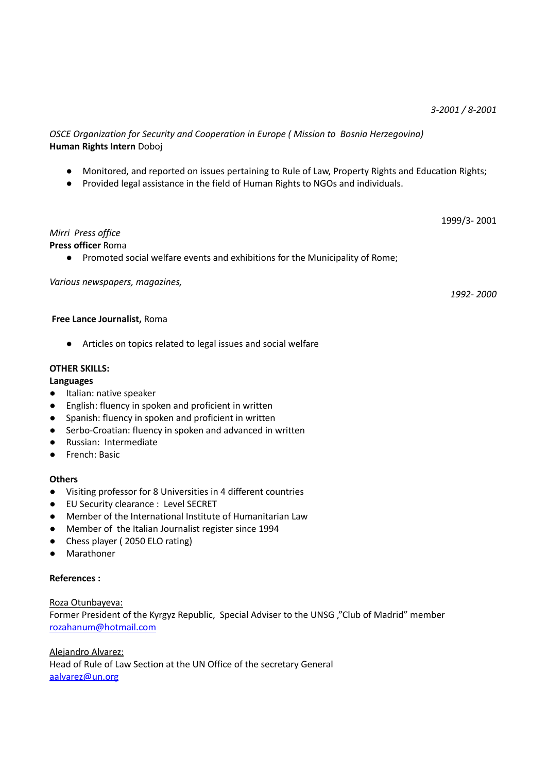*OSCE Organization for Security and Cooperation in Europe ( Mission to Bosnia Herzegovina)* **Human Rights Intern** Doboj

- Monitored, and reported on issues pertaining to Rule of Law, Property Rights and Education Rights;
- Provided legal assistance in the field of Human Rights to NGOs and individuals.

1999/3- 2001

# *Mirri Press office*

## **Press officer** Roma

● Promoted social welfare events and exhibitions for the Municipality of Rome;

### *Various newspapers, magazines,*

*1992- 2000*

### **Free Lance Journalist,** Roma

● Articles on topics related to legal issues and social welfare

### **OTHER SKILLS:**

### **Languages**

- Italian: native speaker
- English: fluency in spoken and proficient in written
- Spanish: fluency in spoken and proficient in written
- Serbo-Croatian: fluency in spoken and advanced in written
- Russian: Intermediate
- French: Basic

### **Others**

- Visiting professor for 8 Universities in 4 different countries
- EU Security clearance : Level SECRET
- Member of the International Institute of Humanitarian Law
- Member of the Italian Journalist register since 1994
- Chess player ( 2050 ELO rating)
- Marathoner

## **References :**

### Roza Otunbayeva:

Former President of the Kyrgyz Republic, Special Adviser to the UNSG ,"Club of Madrid" member [rozahanum@hotmail.com](mailto:rozahanum@hotmail.com)

Alejandro Alvarez: Head of Rule of Law Section at the UN Office of the secretary General [aalvarez@un.org](mailto:aalvarez@un.org)